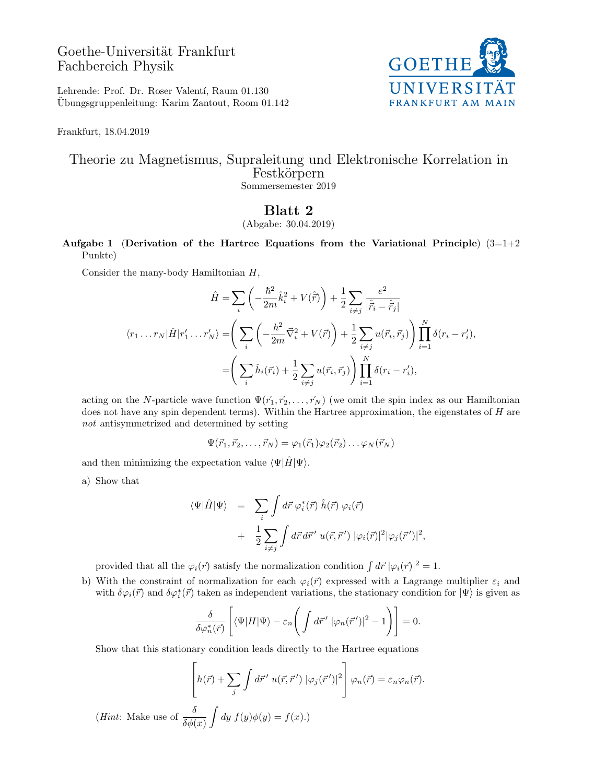## Goethe-Universität Frankfurt Fachbereich Physik



Lehrende: Prof. Dr. Roser Valentí, Raum 01.130 Ubungsgruppenleitung: Karim Zantout, Room 01.142 ¨

Frankfurt, 18.04.2019

### Theorie zu Magnetismus, Supraleitung und Elektronische Korrelation in Festkörpern Sommersemester 2019

# Blatt 2

### (Abgabe: 30.04.2019)

Aufgabe 1 (Derivation of the Hartree Equations from the Variational Principle)  $(3=1+2)$ Punkte)

Consider the many-body Hamiltonian H,

$$
\hat{H} = \sum_{i} \left( -\frac{\hbar^2}{2m} \hat{k}_i^2 + V(\hat{r}) \right) + \frac{1}{2} \sum_{i \neq j} \frac{e^2}{|\hat{r}_i - \hat{r}_j|}
$$
\n
$$
\langle r_1 \dots r_N | \hat{H} | r_1' \dots r_N' \rangle = \left( \sum_{i} \left( -\frac{\hbar^2}{2m} \vec{\nabla}_i^2 + V(\vec{r}) \right) + \frac{1}{2} \sum_{i \neq j} u(\vec{r}_i, \vec{r}_j) \right) \prod_{i=1}^N \delta(r_i - r_i'),
$$
\n
$$
= \left( \sum_{i} \hat{h}_i(\vec{r}_i) + \frac{1}{2} \sum_{i \neq j} u(\vec{r}_i, \vec{r}_j) \right) \prod_{i=1}^N \delta(r_i - r_i'),
$$

acting on the N-particle wave function  $\Psi(\vec{r}_1, \vec{r}_2, \ldots, \vec{r}_N)$  (we omit the spin index as our Hamiltonian does not have any spin dependent terms). Within the Hartree approximation, the eigenstates of H are not antisymmetrized and determined by setting

$$
\Psi(\vec{r}_1,\vec{r}_2,\ldots,\vec{r}_N)=\varphi_1(\vec{r}_1)\varphi_2(\vec{r}_2)\ldots\varphi_N(\vec{r}_N)
$$

and then minimizing the expectation value  $\langle \Psi | \hat{H} | \Psi \rangle$ .

a) Show that

$$
\langle \Psi | \hat{H} | \Psi \rangle = \sum_{i} \int d\vec{r} \, \varphi_{i}^{*}(\vec{r}) \, \hat{h}(\vec{r}) \, \varphi_{i}(\vec{r})
$$

$$
+ \frac{1}{2} \sum_{i \neq j} \int d\vec{r} \, d\vec{r}' \, u(\vec{r}, \vec{r}') \, |\varphi_{i}(\vec{r})|^{2} |\varphi_{j}(\vec{r}')|^{2},
$$

provided that all the  $\varphi_i(\vec{r})$  satisfy the normalization condition  $\int d\vec{r} \, |\varphi_i(\vec{r})|^2 = 1$ .

b) With the constraint of normalization for each  $\varphi_i(\vec{r})$  expressed with a Lagrange multiplier  $\varepsilon_i$  and with  $\delta\varphi_i(\vec{r})$  and  $\delta\varphi_i^*(\vec{r})$  taken as independent variations, the stationary condition for  $|\Psi\rangle$  is given as

$$
\frac{\delta}{\delta \varphi_n^*(\vec{r})} \left[ \langle \Psi | H | \Psi \rangle - \varepsilon_n \left( \int d\vec{r}' \ |\varphi_n(\vec{r}')|^2 - 1 \right) \right] = 0.
$$

Show that this stationary condition leads directly to the Hartree equations

$$
\left[h(\vec{r}) + \sum_{j} \int d\vec{r}' \ u(\vec{r}, \vec{r}') |\varphi_{j}(\vec{r}')|^{2}\right] \varphi_{n}(\vec{r}) = \varepsilon_{n} \varphi_{n}(\vec{r}).
$$

(*Hint*: Make use of  $\frac{\delta}{\delta \phi(x)}$  $\int dy f(y)\phi(y) = f(x).$